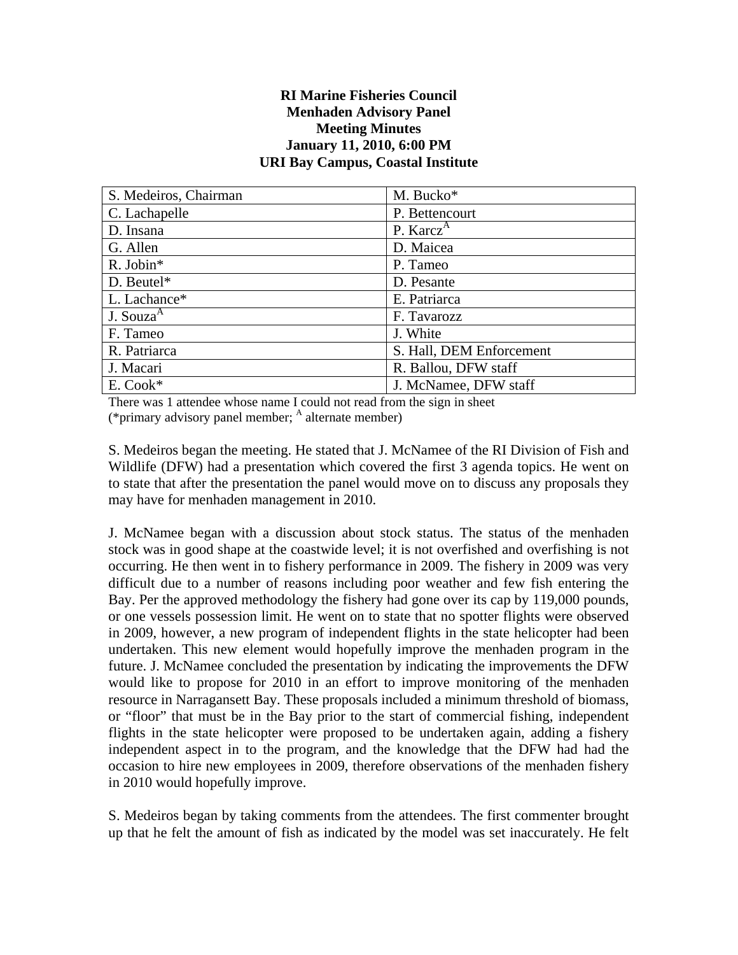## **RI Marine Fisheries Council Menhaden Advisory Panel Meeting Minutes January 11, 2010, 6:00 PM URI Bay Campus, Coastal Institute**

| S. Medeiros, Chairman | M. Bucko*                |
|-----------------------|--------------------------|
| C. Lachapelle         | P. Bettencourt           |
| D. Insana             | P. Karcz <sup>A</sup>    |
| G. Allen              | D. Maicea                |
| R. Jobin*             | P. Tameo                 |
| $D.$ Beutel*          | D. Pesante               |
| L. Lachance*          | E. Patriarca             |
| J. Souza <sup>A</sup> | F. Tavarozz              |
| F. Tameo              | J. White                 |
| R. Patriarca          | S. Hall, DEM Enforcement |
| J. Macari             | R. Ballou, DFW staff     |
| $E. \, Cook*$         | J. McNamee, DFW staff    |

There was 1 attendee whose name I could not read from the sign in sheet (\*primary advisory panel member;  $<sup>A</sup>$  alternate member)</sup>

S. Medeiros began the meeting. He stated that J. McNamee of the RI Division of Fish and Wildlife (DFW) had a presentation which covered the first 3 agenda topics. He went on to state that after the presentation the panel would move on to discuss any proposals they may have for menhaden management in 2010.

J. McNamee began with a discussion about stock status. The status of the menhaden stock was in good shape at the coastwide level; it is not overfished and overfishing is not occurring. He then went in to fishery performance in 2009. The fishery in 2009 was very difficult due to a number of reasons including poor weather and few fish entering the Bay. Per the approved methodology the fishery had gone over its cap by 119,000 pounds, or one vessels possession limit. He went on to state that no spotter flights were observed in 2009, however, a new program of independent flights in the state helicopter had been undertaken. This new element would hopefully improve the menhaden program in the future. J. McNamee concluded the presentation by indicating the improvements the DFW would like to propose for 2010 in an effort to improve monitoring of the menhaden resource in Narragansett Bay. These proposals included a minimum threshold of biomass, or "floor" that must be in the Bay prior to the start of commercial fishing, independent flights in the state helicopter were proposed to be undertaken again, adding a fishery independent aspect in to the program, and the knowledge that the DFW had had the occasion to hire new employees in 2009, therefore observations of the menhaden fishery in 2010 would hopefully improve.

S. Medeiros began by taking comments from the attendees. The first commenter brought up that he felt the amount of fish as indicated by the model was set inaccurately. He felt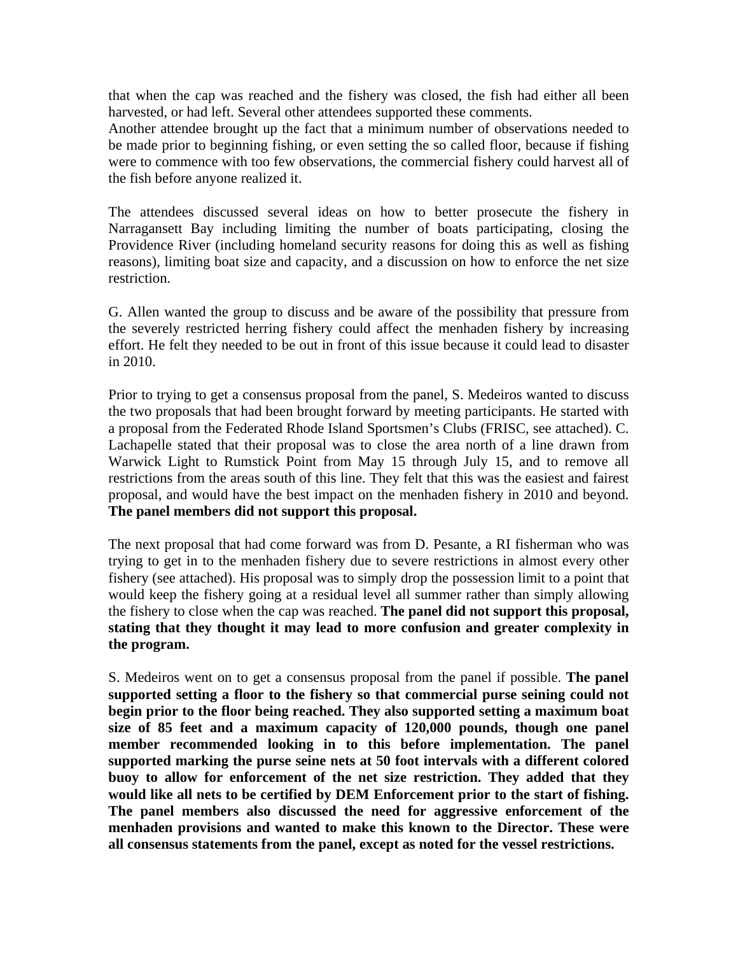that when the cap was reached and the fishery was closed, the fish had either all been harvested, or had left. Several other attendees supported these comments.

Another attendee brought up the fact that a minimum number of observations needed to be made prior to beginning fishing, or even setting the so called floor, because if fishing were to commence with too few observations, the commercial fishery could harvest all of the fish before anyone realized it.

The attendees discussed several ideas on how to better prosecute the fishery in Narragansett Bay including limiting the number of boats participating, closing the Providence River (including homeland security reasons for doing this as well as fishing reasons), limiting boat size and capacity, and a discussion on how to enforce the net size restriction.

G. Allen wanted the group to discuss and be aware of the possibility that pressure from the severely restricted herring fishery could affect the menhaden fishery by increasing effort. He felt they needed to be out in front of this issue because it could lead to disaster in 2010.

Prior to trying to get a consensus proposal from the panel, S. Medeiros wanted to discuss the two proposals that had been brought forward by meeting participants. He started with a proposal from the Federated Rhode Island Sportsmen's Clubs (FRISC, see attached). C. Lachapelle stated that their proposal was to close the area north of a line drawn from Warwick Light to Rumstick Point from May 15 through July 15, and to remove all restrictions from the areas south of this line. They felt that this was the easiest and fairest proposal, and would have the best impact on the menhaden fishery in 2010 and beyond. **The panel members did not support this proposal.**

The next proposal that had come forward was from D. Pesante, a RI fisherman who was trying to get in to the menhaden fishery due to severe restrictions in almost every other fishery (see attached). His proposal was to simply drop the possession limit to a point that would keep the fishery going at a residual level all summer rather than simply allowing the fishery to close when the cap was reached. **The panel did not support this proposal, stating that they thought it may lead to more confusion and greater complexity in the program.**

S. Medeiros went on to get a consensus proposal from the panel if possible. **The panel supported setting a floor to the fishery so that commercial purse seining could not begin prior to the floor being reached. They also supported setting a maximum boat size of 85 feet and a maximum capacity of 120,000 pounds, though one panel member recommended looking in to this before implementation. The panel supported marking the purse seine nets at 50 foot intervals with a different colored buoy to allow for enforcement of the net size restriction. They added that they would like all nets to be certified by DEM Enforcement prior to the start of fishing. The panel members also discussed the need for aggressive enforcement of the menhaden provisions and wanted to make this known to the Director. These were all consensus statements from the panel, except as noted for the vessel restrictions.**